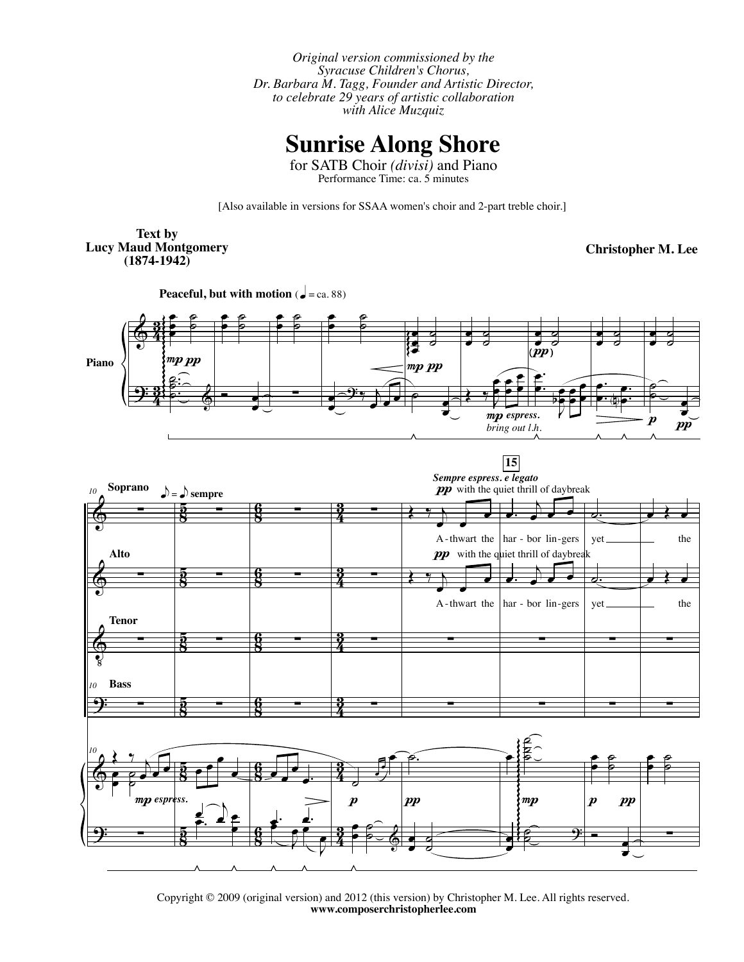*Original version commissioned by the Syracuse Children's Chorus, Dr. Barbara M. Tagg, Founder and Artistic Director, to celebrate 29 years of artistic collaboration with Alice Muzquiz*

## **Sunrise Along Shore**

for SATB Choir *(divisi)* and Piano Performance Time: ca. 5 minutes

[Also available in versions for SSAA women's choir and 2-part treble choir.]

**Text by Lucy Maud Montgomery (1874-1942)**

**Christopher M. Lee**

**Peaceful, but with motion**  $\left(\right)$  **= ca. 88)** 



Copyright © 2009 (original version) and 2012 (this version) by Christopher M. Lee. All rights reserved. **www.composerchristopherlee.com**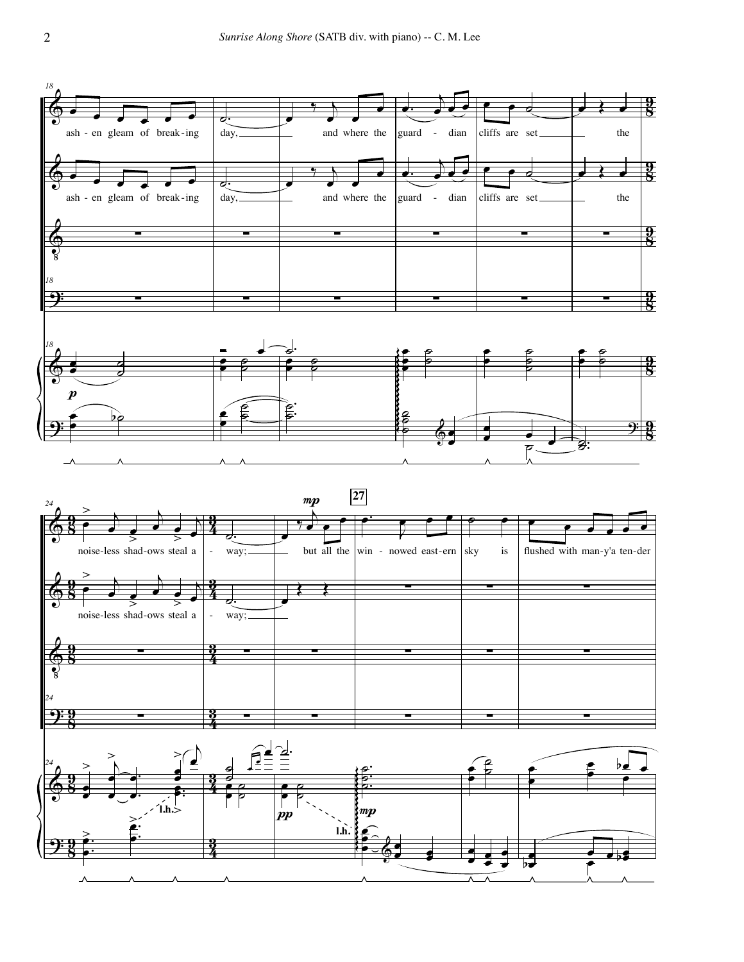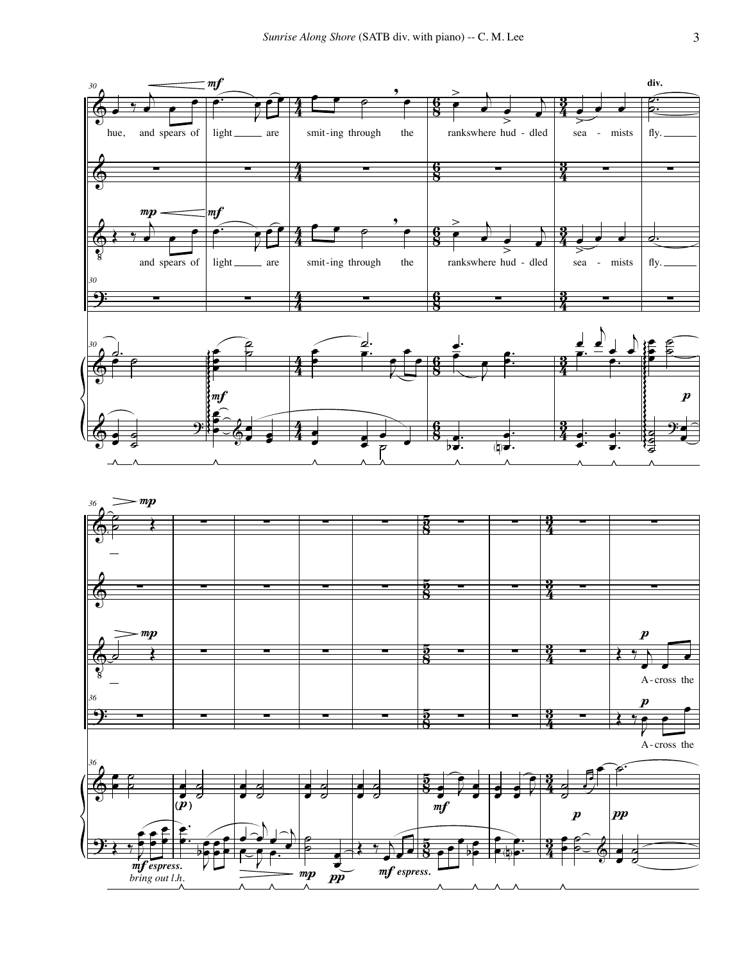

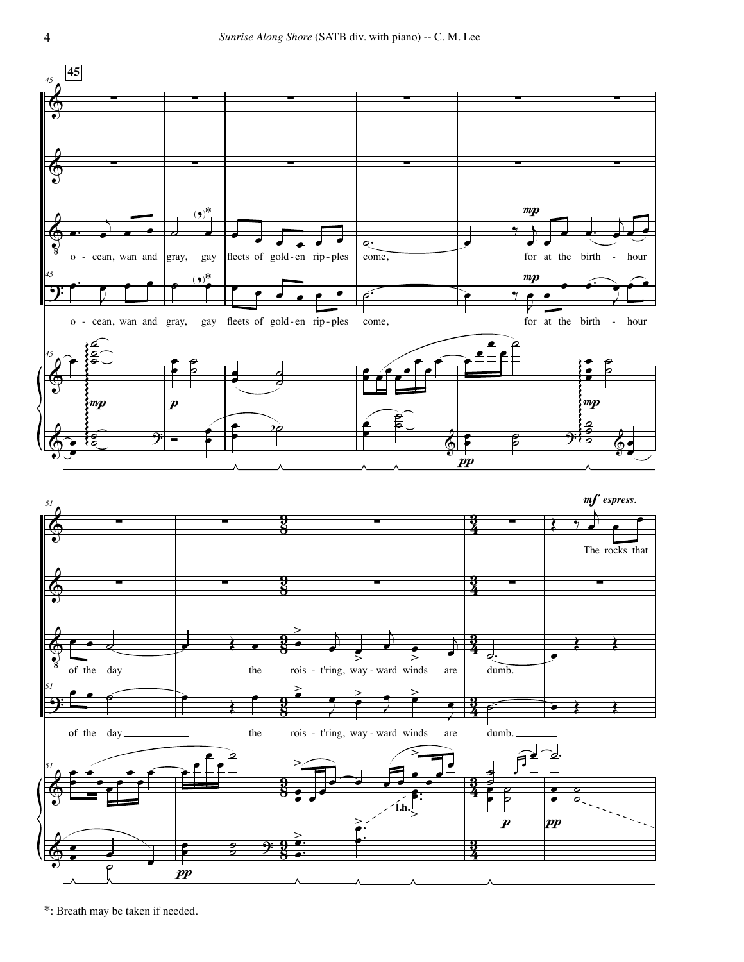

**\***: Breath may be taken if needed.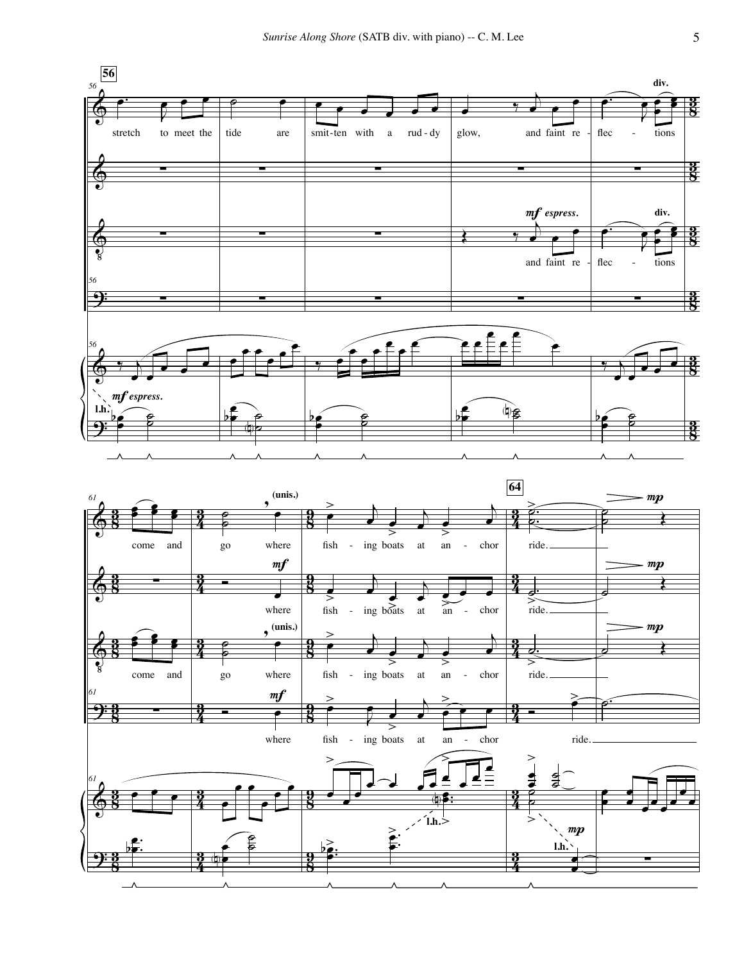